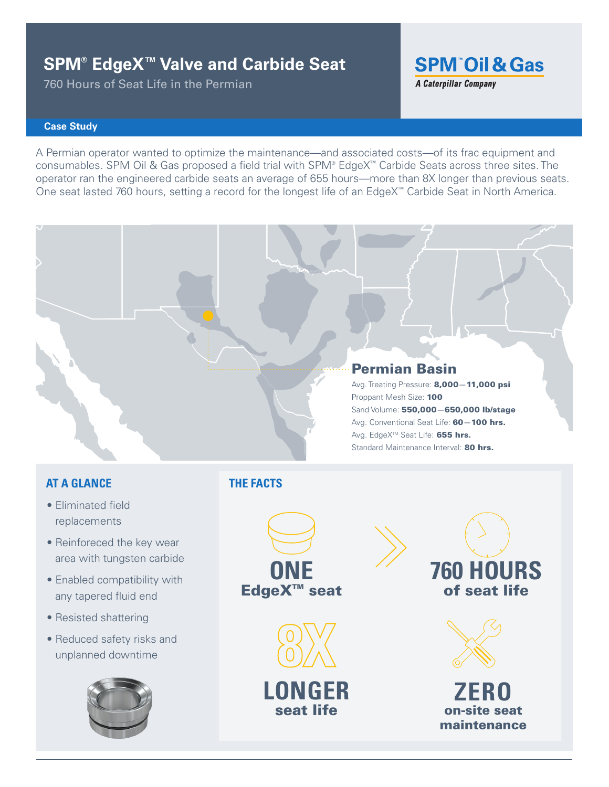# **SPM® EdgeX™ Valve and Carbide Seat**

760 Hours of Seat Life in the Permian

**SPM Oil & Gas A Caterpillar Company** 

### **Case Study**

A Permian operator wanted to optimize the maintenance—and associated costs—of its frac equipment and consumables. SPM Oil & Gas proposed a field trial with SPM® EdgeX™ Carbide Seats across three sites. The operator ran the engineered carbide seats an average of 655 hours—more than 8X longer than previous seats. One seat lasted 760 hours, setting a record for the longest life of an EdgeX™ Carbide Seat in North America.



Avg. Treating Pressure: 8,000—11,000 psi Proppant Mesh Size: 100 Sand Volume: 550,000—650,000 lb/stage Avg. Conventional Seat Life: 60-100 hrs. Avg. EdgeX<sup>™</sup> Seat Life: 655 hrs. Standard Maintenance Interval: 80 hrs.

## **AT A GLANCE**

- Eliminated field replacements
- Reinforeced the key wear area with tungsten carbide
- Enabled compatibility with any tapered fluid end
- Resisted shattering
- Reduced safety risks and unplanned downtime



## **THE FACTS**